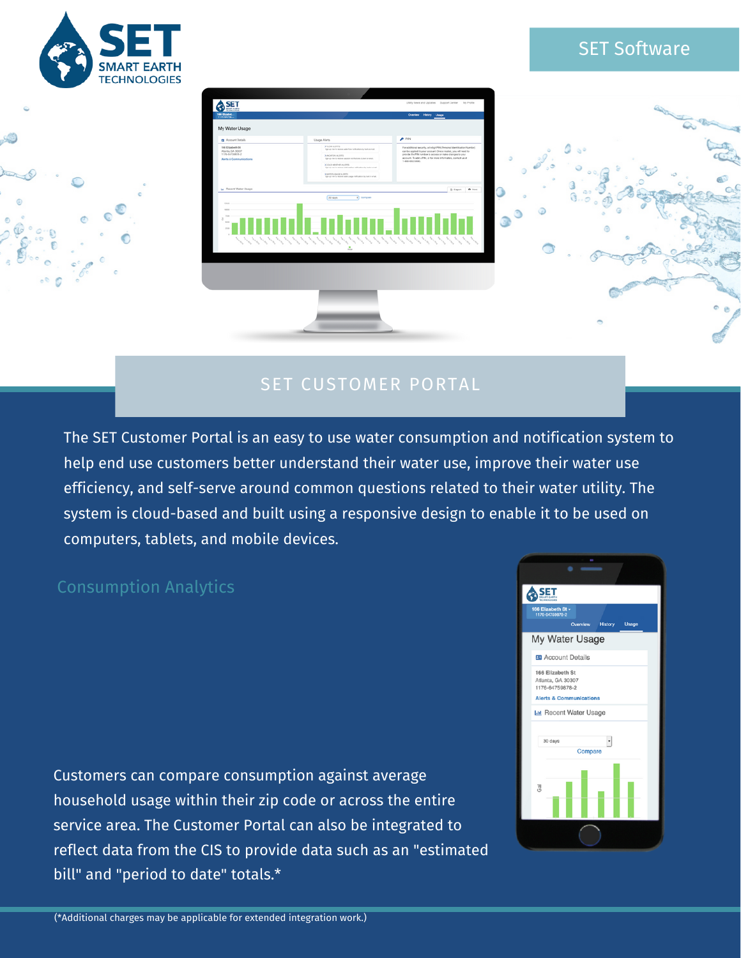

# SET Software



# SET CUSTOMER PORTAL

The SET Customer Portal is an easy to use water consumption and notification system to help end use customers better understand their water use, improve their water use efficiency, and self-serve around common questions related to their water utility. The system is cloud-based and built using a responsive design to enable it to be used on computers, tablets, and mobile devices.

#### Consumption Analytics

Customers can compare consumption against average household usage within their zip code or across the entire service area. The Customer Portal can also be integrated to reflect data from the CIS to provide data such as an "estimated bill" and "period to date" totals.\*